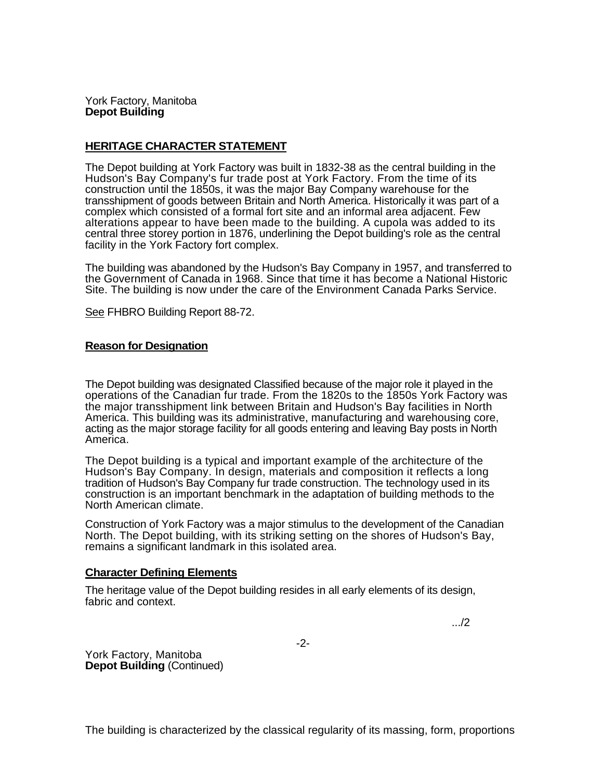York Factory, Manitoba **Depot Building** 

## **HERITAGE CHARACTER STATEMENT**

The Depot building at York Factory was built in 1832-38 as the central building in the Hudson's Bay Company's fur trade post at York Factory. From the time of its construction until the 1850s, it was the major Bay Company warehouse for the transshipment of goods between Britain and North America. Historically it was part of a complex which consisted of a formal fort site and an informal area adjacent. Few alterations appear to have been made to the building. A cupola was added to its central three storey portion in 1876, underlining the Depot building's role as the central facility in the York Factory fort complex.

The building was abandoned by the Hudson's Bay Company in 1957, and transferred to the Government of Canada in 1968. Since that time it has become a National Historic Site. The building is now under the care of the Environment Canada Parks Service.

See FHBRO Building Report 88-72.

## **Reason for Designation**

The Depot building was designated Classified because of the major role it played in the operations of the Canadian fur trade. From the 1820s to the 1850s York Factory was the major transshipment link between Britain and Hudson's Bay facilities in North America. This building was its administrative, manufacturing and warehousing core, acting as the major storage facility for all goods entering and leaving Bay posts in North America.

The Depot building is a typical and important example of the architecture of the Hudson's Bay Company. In design, materials and composition it reflects a long tradition of Hudson's Bay Company fur trade construction. The technology used in its construction is an important benchmark in the adaptation of building methods to the North American climate.

Construction of York Factory was a major stimulus to the development of the Canadian North. The Depot building, with its striking setting on the shores of Hudson's Bay, remains a significant landmark in this isolated area.

## **Character Defining Elements**

The heritage value of the Depot building resides in all early elements of its design, fabric and context.

.../2

York Factory, Manitoba **Depot Building (Continued)**  -2-